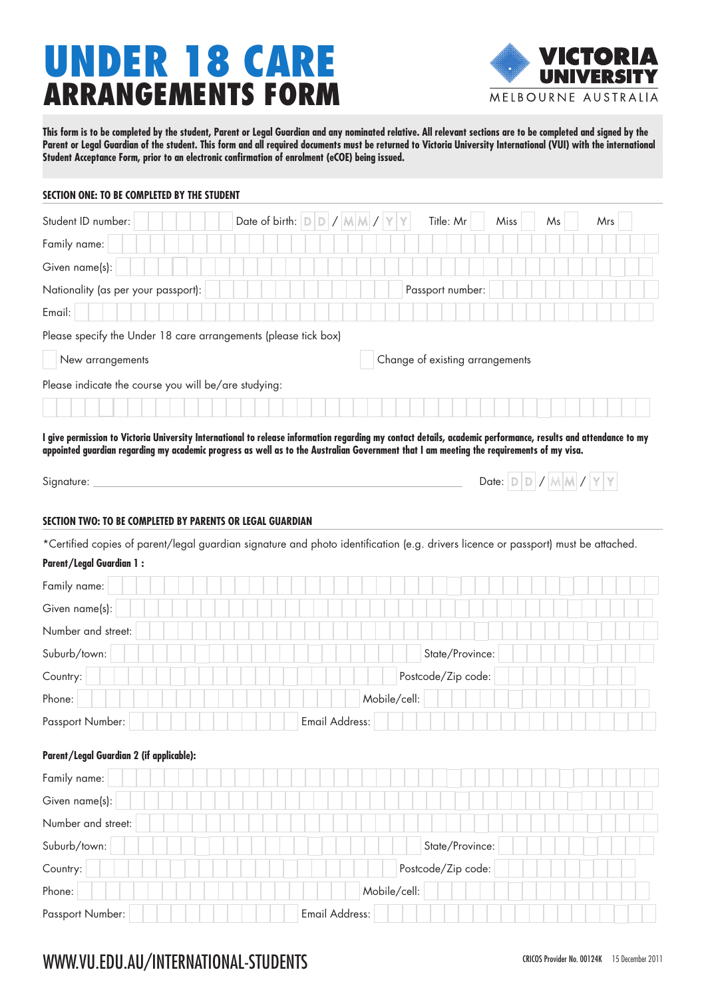# UNDER 18 CARE ARRANGEMENTS FORM



**This form is to be completed by the student, Parent or Legal Guardian and any nominated relative. All relevant sections are to be completed and signed by the**  Parent or Legal Guardian of the student. This form and all required documents must be returned to Victoria University International (VUI) with the international **Student Acceptance Form, prior to an electronic confirmation of enrolment (eCOE) being issued.**

#### **SECTION ONE: TO BE COMPLETED BY THE STUDENT**

| Student ID number:                                                                                                                                             |                                 | Date of birth: $D$ $D$ / $M$ $M$ / $Y$ $Y$ |                    | Title: Mr          | Miss | Ms                                | Mrs |  |  |  |
|----------------------------------------------------------------------------------------------------------------------------------------------------------------|---------------------------------|--------------------------------------------|--------------------|--------------------|------|-----------------------------------|-----|--|--|--|
| Family name:                                                                                                                                                   |                                 |                                            |                    |                    |      |                                   |     |  |  |  |
| Given name(s):                                                                                                                                                 |                                 |                                            |                    |                    |      |                                   |     |  |  |  |
| Nationality (as per your passport):                                                                                                                            |                                 |                                            |                    | Passport number:   |      |                                   |     |  |  |  |
| Email:                                                                                                                                                         |                                 |                                            |                    |                    |      |                                   |     |  |  |  |
| Please specify the Under 18 care arrangements (please tick box)                                                                                                |                                 |                                            |                    |                    |      |                                   |     |  |  |  |
| New arrangements                                                                                                                                               | Change of existing arrangements |                                            |                    |                    |      |                                   |     |  |  |  |
| Please indicate the course you will be/are studying:                                                                                                           |                                 |                                            |                    |                    |      |                                   |     |  |  |  |
|                                                                                                                                                                |                                 |                                            |                    |                    |      |                                   |     |  |  |  |
| I give permission to Victoria University International to release information regarding my contact details, academic performance, results and attendance to my |                                 |                                            |                    |                    |      |                                   |     |  |  |  |
| appointed guardian regarding my academic progress as well as to the Australian Government that I am meeting the requirements of my visa.                       |                                 |                                            |                    |                    |      |                                   |     |  |  |  |
| Signature:                                                                                                                                                     |                                 |                                            |                    |                    |      | Date: $D$ $D$ / $M$ $M$ / $Y$ $Y$ |     |  |  |  |
|                                                                                                                                                                |                                 |                                            |                    |                    |      |                                   |     |  |  |  |
| SECTION TWO: TO BE COMPLETED BY PARENTS OR LEGAL GUARDIAN                                                                                                      |                                 |                                            |                    |                    |      |                                   |     |  |  |  |
| *Certified copies of parent/legal guardian signature and photo identification (e.g. drivers licence or passport) must be attached.                             |                                 |                                            |                    |                    |      |                                   |     |  |  |  |
| <b>Parent/Legal Guardian 1:</b>                                                                                                                                |                                 |                                            |                    |                    |      |                                   |     |  |  |  |
| Family name:                                                                                                                                                   |                                 |                                            |                    |                    |      |                                   |     |  |  |  |
| Given name(s):                                                                                                                                                 |                                 |                                            |                    |                    |      |                                   |     |  |  |  |
| Number and street:                                                                                                                                             |                                 |                                            |                    |                    |      |                                   |     |  |  |  |
| Suburb/town:                                                                                                                                                   |                                 | State/Province:                            |                    |                    |      |                                   |     |  |  |  |
| Country:                                                                                                                                                       |                                 |                                            | Postcode/Zip code: |                    |      |                                   |     |  |  |  |
| Phone:                                                                                                                                                         | Mobile/cell:                    |                                            |                    |                    |      |                                   |     |  |  |  |
| Passport Number:                                                                                                                                               |                                 | Email Address:                             |                    |                    |      |                                   |     |  |  |  |
| Parent/Legal Guardian 2 (if applicable):                                                                                                                       |                                 |                                            |                    |                    |      |                                   |     |  |  |  |
| Family name:                                                                                                                                                   |                                 |                                            |                    |                    |      |                                   |     |  |  |  |
| Given name(s):                                                                                                                                                 |                                 |                                            |                    |                    |      |                                   |     |  |  |  |
| Number and street:                                                                                                                                             |                                 |                                            |                    |                    |      |                                   |     |  |  |  |
| Suburb/town:                                                                                                                                                   |                                 |                                            |                    | State/Province:    |      |                                   |     |  |  |  |
| Country:                                                                                                                                                       |                                 |                                            |                    | Postcode/Zip code: |      |                                   |     |  |  |  |
| Phone:                                                                                                                                                         |                                 |                                            | Mobile/cell:       |                    |      |                                   |     |  |  |  |
| Passport Number:                                                                                                                                               |                                 | Email Address:                             |                    |                    |      |                                   |     |  |  |  |
|                                                                                                                                                                |                                 |                                            |                    |                    |      |                                   |     |  |  |  |

## WWW.VU.EDU.AU/INTERNATIONAL-STUDENTS CRICOS Provider No. 00124K 15 December 2011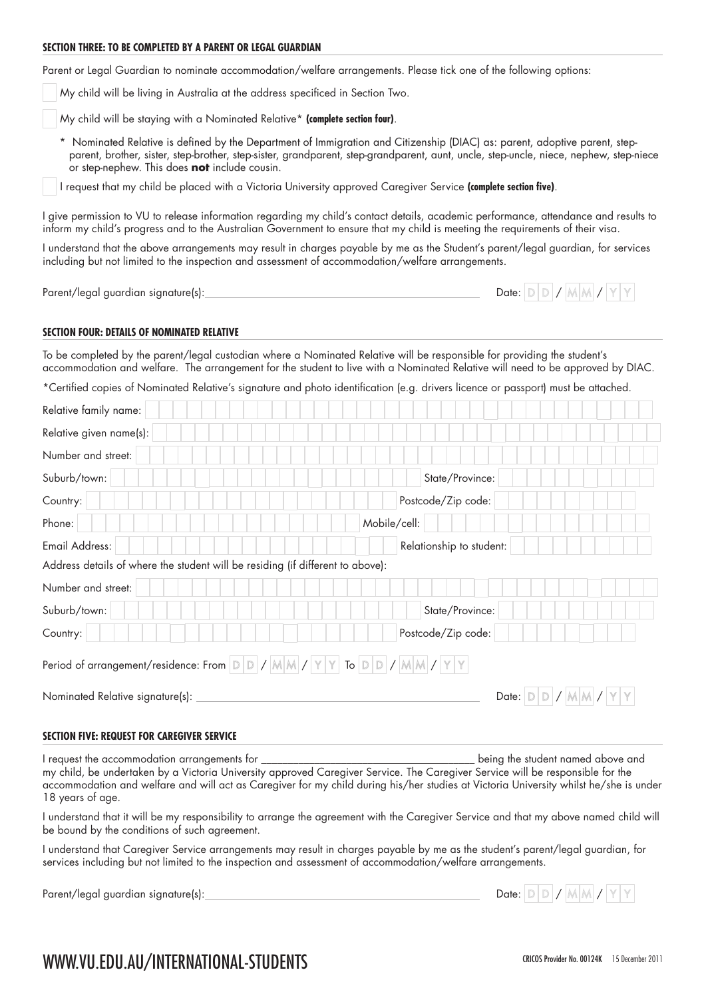#### **SECTION THREE: TO BE COMPLETED BY A PARENT OR LEGAL GUARDIAN**

Parent or Legal Guardian to nominate accommodation/welfare arrangements. Please tick one of the following options:

My child will be living in Australia at the address specificed in Section Two.

My child will be staying with a Nominated Relative\* **(complete section four)**.

\* Nominated Relative is defined by the Department of Immigration and Citizenship (DIAC) as: parent, adoptive parent, stepparent, brother, sister, step-brother, step-sister, grandparent, step-grandparent, aunt, uncle, step-uncle, niece, nephew, step-niece or step-nephew. This does **not** include cousin.

I request that my child be placed with a Victoria University approved Caregiver Service **(complete section five)**.

I give permission to VU to release information regarding my child's contact details, academic performance, attendance and results to inform my child's progress and to the Australian Government to ensure that my child is meeting the requirements of their visa.

I understand that the above arrangements may result in charges payable by me as the Student's parent/legal guardian, for services including but not limited to the inspection and assessment of accommodation/welfare arrangements.

Parent/legal guardian signature(s):

| Date: |  |  |  |  |  |  |  |  |  |
|-------|--|--|--|--|--|--|--|--|--|
|-------|--|--|--|--|--|--|--|--|--|

#### **SECTION FOUR: DETAILS OF NOMINATED RELATIVE**

To be completed by the parent/legal custodian where a Nominated Relative will be responsible for providing the student's accommodation and welfare. The arrangement for the student to live with a Nominated Relative will need to be approved by DIAC.

\*Certified copies of Nominated Relative's signature and photo identification (e.g. drivers licence or passport) must be attached.

| Relative family name:                                                            |                               |
|----------------------------------------------------------------------------------|-------------------------------|
| Relative given name(s):                                                          |                               |
| Number and street:                                                               |                               |
| Suburb/town:                                                                     | State/Province:               |
| Country:                                                                         | Postcode/Zip code:            |
| Phone:                                                                           | Mobile/cell:                  |
| Email Address:                                                                   | Relationship to student:      |
| Address details of where the student will be residing (if different to above):   |                               |
| Number and street:                                                               |                               |
| Suburb/town:                                                                     | State/Province:               |
| Country:                                                                         | Postcode/Zip code:            |
| Period of arrangement/residence: From $D/D/M/M/N'$   $V$   $V$   To $D/D/M/M/N'$ |                               |
| Nominated Relative signature(s):                                                 | Date: $D/D$ / $M/M$ / $Y$ $Y$ |

#### **SECTION FIVE: REQUEST FOR CAREGIVER SERVICE**

I request the accommodation arrangements for **which is a commodation and above and**  $\overline{a}$  being the student named above and my child, be undertaken by a Victoria University approved Caregiver Service. The Caregiver Service will be responsible for the accommodation and welfare and will act as Caregiver for my child during his/her studies at Victoria University whilst he/she is under 18 years of age.

I understand that it will be my responsibility to arrange the agreement with the Caregiver Service and that my above named child will be bound by the conditions of such agreement.

I understand that Caregiver Service arrangements may result in charges payable by me as the student's parent/legal guardian, for services including but not limited to the inspection and assessment of accommodation/welfare arrangements.

Parent/legal guardian signature(s):

| .Jate |  |  |  |  |  |  |  |  |  |
|-------|--|--|--|--|--|--|--|--|--|
|-------|--|--|--|--|--|--|--|--|--|

### WWW.VU.EDU.AU/INTERNATIONAL-STUDENTS CRICOS Provider No. 00124K 15 December 2011